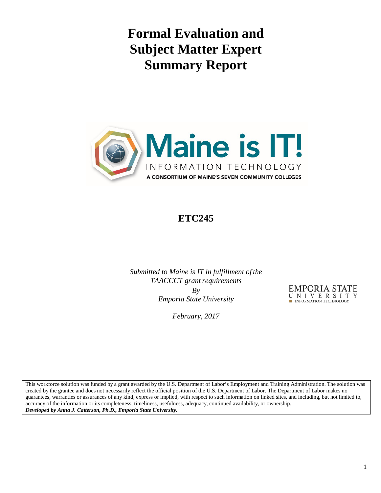**Formal Evaluation and Subject Matter Expert Summary Report**



# **ETC245**

*Submitted to Maine is IT in fulfillment of the TAACCCT* grant requirements *By*

*Emporia State University* 

EMPORIA STATE UNIVERSIT INFORMATION TECHNOLOGY

*February, 2017*

This workforce solution was funded by a grant awarded by the U.S. Department of Labor's Employment and Training Administration. The solution was created by the grantee and does not necessarily reflect the official position of the U.S. Department of Labor. The Department of Labor makes no guarantees, warranties or assurances of any kind, express or implied, with respect to such information on linked sites, and including, but not limited to, accuracy of the information or its completeness, timeliness, usefulness, adequacy, continued availability, or ownership. *Developed by Anna J. Catterson, Ph.D., Emporia State University.*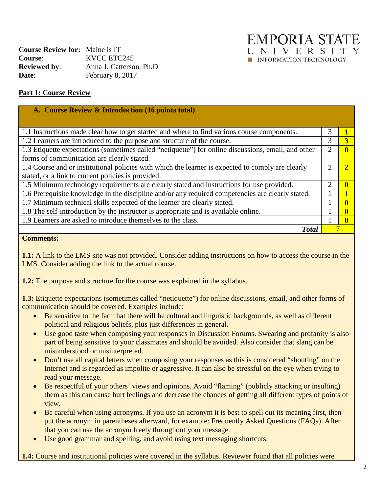| EMPORIA STAT                 |  |  |  |  |
|------------------------------|--|--|--|--|
| UNIVERSIT                    |  |  |  |  |
| <b>NEORMATION TECHNOLOGY</b> |  |  |  |  |

| <b>Course Review for:</b> Maine is IT |                          |
|---------------------------------------|--------------------------|
| <b>Course:</b>                        | KVCC ETC245              |
| <b>Reviewed by:</b>                   | Anna J. Catterson, Ph.D. |
| Date:                                 | February 8, 2017         |

### **Part 1: Course Review**

| A. Course Review & Introduction (16 points total)                                                   |   |  |
|-----------------------------------------------------------------------------------------------------|---|--|
|                                                                                                     |   |  |
| 1.1 Instructions made clear how to get started and where to find various course components.         | 3 |  |
| 1.2 Learners are introduced to the purpose and structure of the course.                             | 3 |  |
| 1.3 Etiquette expectations (sometimes called "netiquette") for online discussions, email, and other | 2 |  |
| forms of communication are clearly stated.                                                          |   |  |
| 1.4 Course and or institutional policies with which the learner is expected to comply are clearly   | ി |  |
| stated, or a link to current policies is provided.                                                  |   |  |
| 1.5 Minimum technology requirements are clearly stated and instructions for use provided.           | 2 |  |
| 1.6 Prerequisite knowledge in the discipline and/or any required competencies are clearly stated.   |   |  |
| 1.7 Minimum technical skills expected of the learner are clearly stated.                            |   |  |
| 1.8 The self-introduction by the instructor is appropriate and is available online.                 |   |  |
| 1.9 Learners are asked to introduce themselves to the class.                                        |   |  |
| <b>Total</b>                                                                                        |   |  |

#### **Comments:**

**1.1:** A link to the LMS site was not provided. Consider adding instructions on how to access the course in the LMS. Consider adding the link to the actual course.

**1.2:** The purpose and structure for the course was explained in the syllabus.

**1.3:** Etiquette expectations (sometimes called "netiquette") for online discussions, email, and other forms of communication should be covered. Examples include:

- Be sensitive to the fact that there will be cultural and linguistic backgrounds, as well as different political and religious beliefs, plus just differences in general.
- Use good taste when composing your responses in Discussion Forums. Swearing and profanity is also part of being sensitive to your classmates and should be avoided. Also consider that slang can be misunderstood or misinterpreted.
- Don't use all capital letters when composing your responses as this is considered "shouting" on the Internet and is regarded as impolite or aggressive. It can also be stressful on the eye when trying to read your message.
- Be respectful of your others' views and opinions. Avoid "flaming" (publicly attacking or insulting) them as this can cause hurt feelings and decrease the chances of getting all different types of points of view.
- Be careful when using acronyms. If you use an acronym it is best to spell out its meaning first, then put the acronym in parentheses afterward, for example: Frequently Asked Questions (FAQs). After that you can use the acronym freely throughout your message.
- Use good grammar and spelling, and avoid using text messaging shortcuts.

**1.4:** Course and institutional policies were covered in the syllabus. Reviewer found that all policies were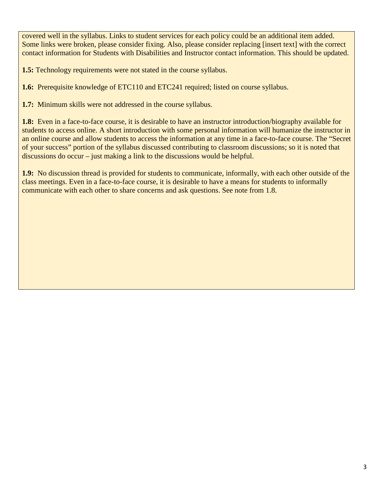covered well in the syllabus. Links to student services for each policy could be an additional item added. Some links were broken, please consider fixing. Also, please consider replacing [insert text] with the correct contact information for Students with Disabilities and Instructor contact information. This should be updated.

**1.5:** Technology requirements were not stated in the course syllabus.

**1.6:** Prerequisite knowledge of ETC110 and ETC241 required; listed on course syllabus.

**1.7:** Minimum skills were not addressed in the course syllabus.

**1.8:** Even in a face-to-face course, it is desirable to have an instructor introduction/biography available for students to access online. A short introduction with some personal information will humanize the instructor in an online course and allow students to access the information at any time in a face-to-face course. The "Secret of your success" portion of the syllabus discussed contributing to classroom discussions; so it is noted that discussions do occur – just making a link to the discussions would be helpful.

**1.9:** No discussion thread is provided for students to communicate, informally, with each other outside of the class meetings. Even in a face-to-face course, it is desirable to have a means for students to informally communicate with each other to share concerns and ask questions. See note from 1.8.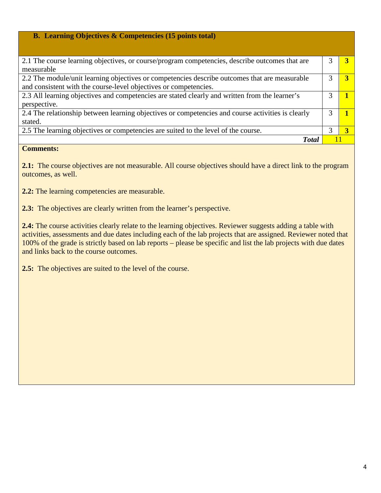| <b>B.</b> Learning Objectives $\&$ Competencies (15 points total)                                 |   |   |
|---------------------------------------------------------------------------------------------------|---|---|
|                                                                                                   |   |   |
| 2.1 The course learning objectives, or course/program competencies, describe outcomes that are    |   |   |
| measurable                                                                                        |   |   |
| 2.2 The module/unit learning objectives or competencies describe outcomes that are measurable     |   |   |
| and consistent with the course-level objectives or competencies.                                  |   |   |
| 2.3 All learning objectives and competencies are stated clearly and written from the learner's    | 3 |   |
| perspective.                                                                                      |   |   |
| 2.4 The relationship between learning objectives or competencies and course activities is clearly |   |   |
| stated.                                                                                           |   |   |
| 2.5 The learning objectives or competencies are suited to the level of the course.                | 3 | 3 |
| <b>Total</b>                                                                                      |   |   |

**2.1:** The course objectives are not measurable. All course objectives should have a direct link to the program outcomes, as well.

2.2: The learning competencies are measurable.

**2.3:** The objectives are clearly written from the learner's perspective.

**2.4:** The course activities clearly relate to the learning objectives. Reviewer suggests adding a table with activities, assessments and due dates including each of the lab projects that are assigned. Reviewer noted that 100% of the grade is strictly based on lab reports – please be specific and list the lab projects with due dates and links back to the course outcomes.

**2.5:** The objectives are suited to the level of the course.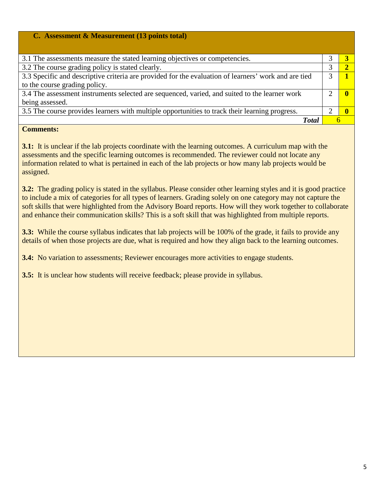| C. Assessment & Measurement (13 points total)                                                        |  |
|------------------------------------------------------------------------------------------------------|--|
|                                                                                                      |  |
| 3.1 The assessments measure the stated learning objectives or competencies.                          |  |
| 3.2 The course grading policy is stated clearly.                                                     |  |
| 3.3 Specific and descriptive criteria are provided for the evaluation of learners' work and are tied |  |
| to the course grading policy.                                                                        |  |
| 3.4 The assessment instruments selected are sequenced, varied, and suited to the learner work        |  |
| being assessed.                                                                                      |  |
| 3.5 The course provides learners with multiple opportunities to track their learning progress.       |  |
| <b>T</b> otal                                                                                        |  |

**3.1:** It is unclear if the lab projects coordinate with the learning outcomes. A curriculum map with the assessments and the specific learning outcomes is recommended. The reviewer could not locate any information related to what is pertained in each of the lab projects or how many lab projects would be assigned.

**3.2:** The grading policy is stated in the syllabus. Please consider other learning styles and it is good practice to include a mix of categories for all types of learners. Grading solely on one category may not capture the soft skills that were highlighted from the Advisory Board reports. How will they work together to collaborate and enhance their communication skills? This is a soft skill that was highlighted from multiple reports.

**3.3:** While the course syllabus indicates that lab projects will be 100% of the grade, it fails to provide any details of when those projects are due, what is required and how they align back to the learning outcomes.

**3.4:** No variation to assessments; Reviewer encourages more activities to engage students.

**3.5:** It is unclear how students will receive feedback; please provide in syllabus.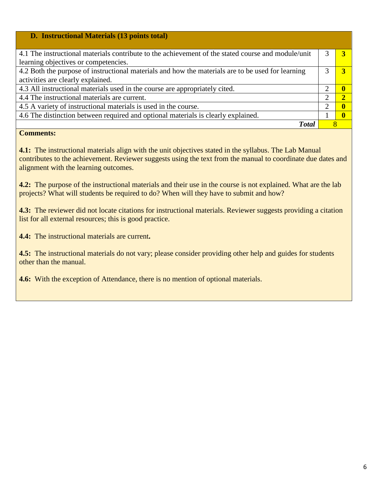| <b>D.</b> Instructional Materials (13 points total)                                                |                       |  |
|----------------------------------------------------------------------------------------------------|-----------------------|--|
|                                                                                                    |                       |  |
| 4.1 The instructional materials contribute to the achievement of the stated course and module/unit |                       |  |
| learning objectives or competencies.                                                               |                       |  |
| 4.2 Both the purpose of instructional materials and how the materials are to be used for learning  |                       |  |
| activities are clearly explained.                                                                  |                       |  |
| 4.3 All instructional materials used in the course are appropriately cited.                        | റ                     |  |
| 4.4 The instructional materials are current.                                                       | $\mathcal{D}_{\cdot}$ |  |
| 4.5 A variety of instructional materials is used in the course.                                    | າ                     |  |
| 4.6 The distinction between required and optional materials is clearly explained.                  |                       |  |
| <b>T</b> otal                                                                                      |                       |  |

**4.1:** The instructional materials align with the unit objectives stated in the syllabus. The Lab Manual contributes to the achievement. Reviewer suggests using the text from the manual to coordinate due dates and alignment with the learning outcomes.

**4.2:** The purpose of the instructional materials and their use in the course is not explained. What are the lab projects? What will students be required to do? When will they have to submit and how?

**4.3:** The reviewer did not locate citations for instructional materials. Reviewer suggests providing a citation list for all external resources; this is good practice.

**4.4:** The instructional materials are current**.**

**4.5:** The instructional materials do not vary; please consider providing other help and guides for students other than the manual.

**4.6:** With the exception of Attendance, there is no mention of optional materials.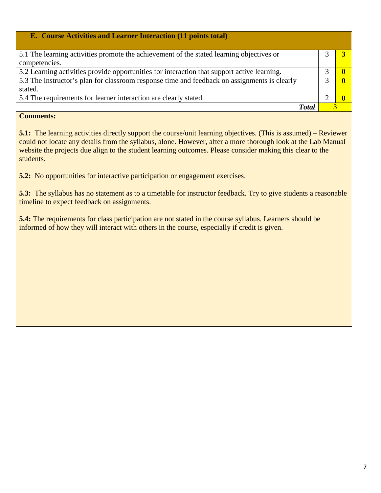| <b>E.</b> Course Activities and Learner Interaction (11 points total)                        |  |
|----------------------------------------------------------------------------------------------|--|
|                                                                                              |  |
| 5.1 The learning activities promote the achievement of the stated learning objectives or     |  |
| competencies.                                                                                |  |
| 5.2 Learning activities provide opportunities for interaction that support active learning.  |  |
| 5.3 The instructor's plan for classroom response time and feedback on assignments is clearly |  |
| stated.                                                                                      |  |
| 5.4 The requirements for learner interaction are clearly stated.                             |  |
| Total                                                                                        |  |

**5.1:** The learning activities directly support the course/unit learning objectives. (This is assumed) – Reviewer could not locate any details from the syllabus, alone. However, after a more thorough look at the Lab Manual website the projects due align to the student learning outcomes. Please consider making this clear to the students.

**5.2:** No opportunities for interactive participation or engagement exercises.

**5.3:** The syllabus has no statement as to a timetable for instructor feedback. Try to give students a reasonable timeline to expect feedback on assignments.

**5.4:** The requirements for class participation are not stated in the course syllabus. Learners should be informed of how they will interact with others in the course, especially if credit is given.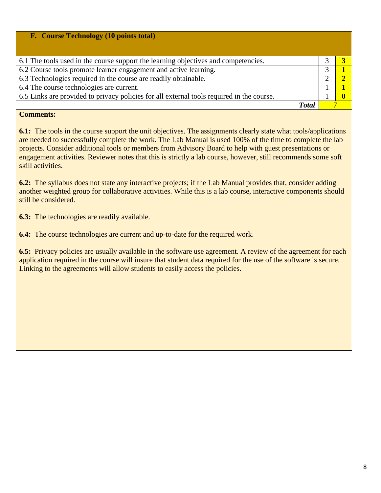| F. Course Technology (10 points total)                                                    |  |
|-------------------------------------------------------------------------------------------|--|
| 6.1 The tools used in the course support the learning objectives and competencies.        |  |
| 6.2 Course tools promote learner engagement and active learning.                          |  |
| 6.3 Technologies required in the course are readily obtainable.                           |  |
| 6.4 The course technologies are current.                                                  |  |
| 6.5 Links are provided to privacy policies for all external tools required in the course. |  |
| <b>T</b> otal                                                                             |  |

**6.1:** The tools in the course support the unit objectives. The assignments clearly state what tools/applications are needed to successfully complete the work. The Lab Manual is used 100% of the time to complete the lab projects. Consider additional tools or members from Advisory Board to help with guest presentations or engagement activities. Reviewer notes that this is strictly a lab course, however, still recommends some soft skill activities.

**6.2:** The syllabus does not state any interactive projects; if the Lab Manual provides that, consider adding another weighted group for collaborative activities. While this is a lab course, interactive components should still be considered.

**6.3:** The technologies are readily available.

**6.4:** The course technologies are current and up-to-date for the required work.

**6.5:** Privacy policies are usually available in the software use agreement. A review of the agreement for each application required in the course will insure that student data required for the use of the software is secure. Linking to the agreements will allow students to easily access the policies.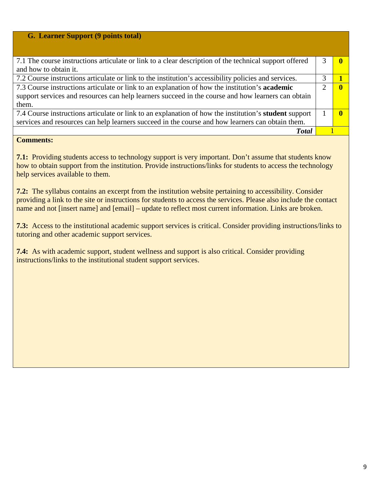| G. Learner Support (9 points total)                                                                          |  |
|--------------------------------------------------------------------------------------------------------------|--|
|                                                                                                              |  |
| 7.1 The course instructions articulate or link to a clear description of the technical support offered       |  |
| and how to obtain it.                                                                                        |  |
| 7.2 Course instructions articulate or link to the institution's accessibility policies and services.         |  |
| 7.3 Course instructions articulate or link to an explanation of how the institution's <b>academic</b>        |  |
| support services and resources can help learners succeed in the course and how learners can obtain           |  |
| them.                                                                                                        |  |
| 7.4 Course instructions articulate or link to an explanation of how the institution's <b>student</b> support |  |
| services and resources can help learners succeed in the course and how learners can obtain them.             |  |
| <b>Total</b>                                                                                                 |  |

**7.1:** Providing students access to technology support is very important. Don't assume that students know how to obtain support from the institution. Provide instructions/links for students to access the technology help services available to them.

**7.2:** The syllabus contains an excerpt from the institution website pertaining to accessibility. Consider providing a link to the site or instructions for students to access the services. Please also include the contact name and not [insert name] and [email] – update to reflect most current information. Links are broken.

**7.3:** Access to the institutional academic support services is critical. Consider providing instructions/links to tutoring and other academic support services.

**7.4:** As with academic support, student wellness and support is also critical. Consider providing instructions/links to the institutional student support services.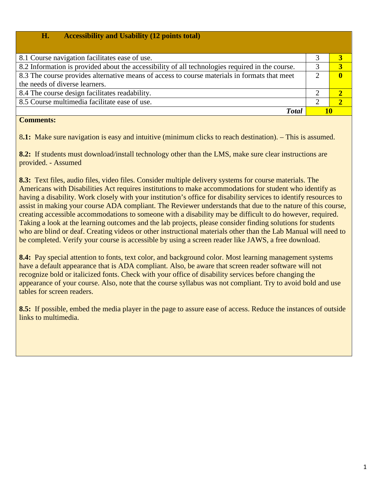| <b>Accessibility and Usability (12 points total)</b><br>H.                                      |    |              |
|-------------------------------------------------------------------------------------------------|----|--------------|
|                                                                                                 |    |              |
| 8.1 Course navigation facilitates ease of use.                                                  |    |              |
| 8.2 Information is provided about the accessibility of all technologies required in the course. | 3  |              |
| 8.3 The course provides alternative means of access to course materials in formats that meet    | 2  | $\mathbf{0}$ |
| the needs of diverse learners.                                                                  |    |              |
| 8.4 The course design facilitates readability.                                                  |    |              |
| 8.5 Course multimedia facilitate ease of use.                                                   | 2  |              |
| <b>Total</b>                                                                                    | 10 |              |

8**.1:** Make sure navigation is easy and intuitive (minimum clicks to reach destination). – This is assumed.

**8.2:** If students must download/install technology other than the LMS, make sure clear instructions are provided. - Assumed

**8.3:** Text files, audio files, video files. Consider multiple delivery systems for course materials. The Americans with Disabilities Act requires institutions to make accommodations for student who identify as having a disability. Work closely with your institution's office for disability services to identify resources to assist in making your course ADA compliant. The Reviewer understands that due to the nature of this course, creating accessible accommodations to someone with a disability may be difficult to do however, required. Taking a look at the learning outcomes and the lab projects, please consider finding solutions for students who are blind or deaf. Creating videos or other instructional materials other than the Lab Manual will need to be completed. Verify your course is accessible by using a screen reader like JAWS, a free download.

**8.4:** Pay special attention to fonts, text color, and background color. Most learning management systems have a default appearance that is ADA compliant. Also, be aware that screen reader software will not recognize bold or italicized fonts. Check with your office of disability services before changing the appearance of your course. Also, note that the course syllabus was not compliant. Try to avoid bold and use tables for screen readers.

**8.5:** If possible, embed the media player in the page to assure ease of access. Reduce the instances of outside links to multimedia.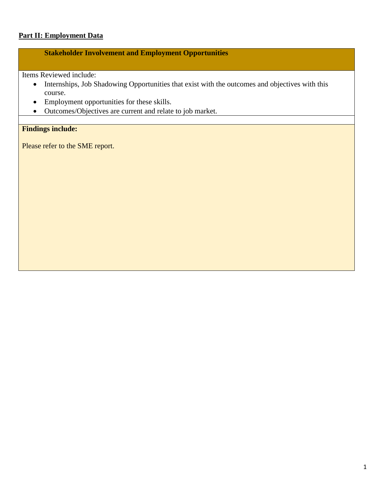# **Part II: Employment Data**

# **Stakeholder Involvement and Employment Opportunities**

Items Reviewed include:

- Internships, Job Shadowing Opportunities that exist with the outcomes and objectives with this course.
- Employment opportunities for these skills.
- Outcomes/Objectives are current and relate to job market.

# **Findings include:**

Please refer to the SME report.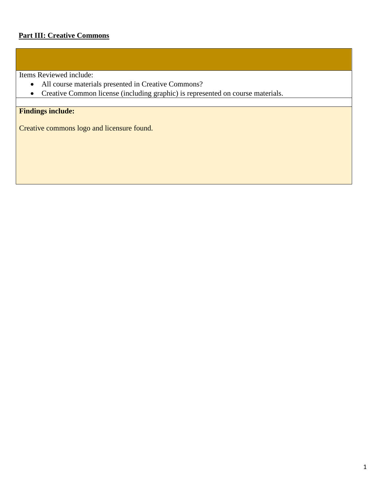Items Reviewed include:

- All course materials presented in Creative Commons?
- Creative Common license (including graphic) is represented on course materials.

# **Findings include:**

Creative commons logo and licensure found.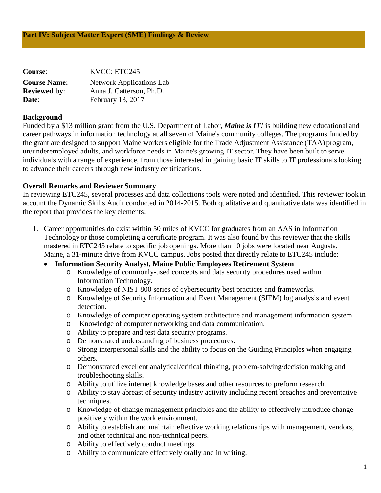| <b>Course:</b>      | KVCC: ETC245                    |
|---------------------|---------------------------------|
| <b>Course Name:</b> | <b>Network Applications Lab</b> |
| <b>Reviewed by:</b> | Anna J. Catterson, Ph.D.        |
| Date:               | February 13, 2017               |

#### **Background**

Funded by a \$13 million grant from the U.S. Department of Labor, *Maine is IT!* is building new educational and career pathways in information technology at all seven of Maine's community colleges. The programs funded by the grant are designed to support Maine workers eligible for the Trade Adjustment Assistance (TAA) program, un/underemployed adults, and workforce needs in Maine's growing IT sector. They have been built to serve individuals with a range of experience, from those interested in gaining basic IT skills to IT professionals looking to advance their careers through new industry certifications.

#### **Overall Remarks and Reviewer Summary**

In reviewing ETC245, several processes and data collections tools were noted and identified. This reviewer took in account the Dynamic Skills Audit conducted in 2014-2015. Both qualitative and quantitative data was identified in the report that provides the key elements:

1. Career opportunities do exist within 50 miles of KVCC for graduates from an AAS in Information Technology or those completing a certificate program. It was also found by this reviewer that the skills mastered in ETC245 relate to specific job openings. More than 10 jobs were located near Augusta, Maine, a 31-minute drive from KVCC campus. Jobs posted that directly relate to ETC245 include:

#### • **Information Security Analyst, Maine Public Employees Retirement System**

- o Knowledge of commonly-used concepts and data security procedures used within Information Technology.
- o Knowledge of NIST 800 series of cybersecurity best practices and frameworks.
- o Knowledge of Security Information and Event Management (SIEM) log analysis and event detection.
- o Knowledge of computer operating system architecture and management information system.
- o Knowledge of computer networking and data communication.
- o Ability to prepare and test data security programs.
- o Demonstrated understanding of business procedures.
- o Strong interpersonal skills and the ability to focus on the Guiding Principles when engaging others.
- o Demonstrated excellent analytical/critical thinking, problem-solving/decision making and troubleshooting skills.
- o Ability to utilize internet knowledge bases and other resources to preform research.
- o Ability to stay abreast of security industry activity including recent breaches and preventative techniques.
- o Knowledge of change management principles and the ability to effectively introduce change positively within the work environment.
- o Ability to establish and maintain effective working relationships with management, vendors, and other technical and non-technical peers.
- o Ability to effectively conduct meetings.
- o Ability to communicate effectively orally and in writing.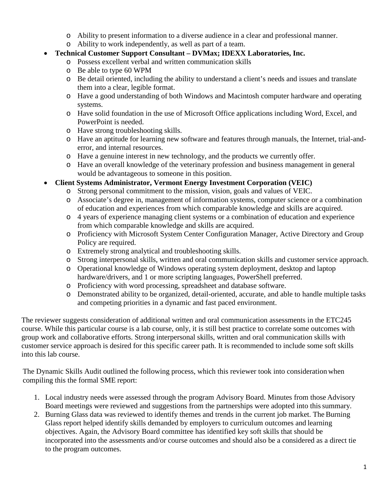- o Ability to present information to a diverse audience in a clear and professional manner.
- o Ability to work independently, as well as part of a team.
- **Technical Customer Support Consultant – DVMax; IDEXX Laboratories, Inc.**
	- o Possess excellent verbal and written communication skills
	- o Be able to type 60 WPM
	- o Be detail oriented, including the ability to understand a client's needs and issues and translate them into a clear, legible format.
	- o Have a good understanding of both Windows and Macintosh computer hardware and operating systems.
	- o Have solid foundation in the use of Microsoft Office applications including Word, Excel, and PowerPoint is needed.
	- o Have strong troubleshooting skills.
	- o Have an aptitude for learning new software and features through manuals, the Internet, trial-anderror, and internal resources.
	- o Have a genuine interest in new technology, and the products we currently offer.
	- o Have an overall knowledge of the veterinary profession and business management in general would be advantageous to someone in this position.
- **Client Systems Administrator, Vermont Energy Investment Corporation (VEIC)**
	- o Strong personal commitment to the mission, vision, goals and values of VEIC.
		- o Associate's degree in, management of information systems, computer science or a combination of education and experiences from which comparable knowledge and skills are acquired.
		- o 4 years of experience managing client systems or a combination of education and experience from which comparable knowledge and skills are acquired.
		- o Proficiency with Microsoft System Center Configuration Manager, Active Directory and Group Policy are required.
		- o Extremely strong analytical and troubleshooting skills.
		- o Strong interpersonal skills, written and oral communication skills and customer service approach.
		- o Operational knowledge of Windows operating system deployment, desktop and laptop hardware/drivers, and 1 or more scripting languages, PowerShell preferred.
		- o Proficiency with word processing, spreadsheet and database software.
		- o Demonstrated ability to be organized, detail-oriented, accurate, and able to handle multiple tasks and competing priorities in a dynamic and fast paced environment.

The reviewer suggests consideration of additional written and oral communication assessments in the ETC245 course. While this particular course is a lab course, only, it is still best practice to correlate some outcomes with group work and collaborative efforts. Strong interpersonal skills, written and oral communication skills with customer service approach is desired for this specific career path. It is recommended to include some soft skills into this lab course.

The Dynamic Skills Audit outlined the following process, which this reviewer took into consideration when compiling this the formal SME report:

- 1. Local industry needs were assessed through the program Advisory Board. Minutes from those Advisory Board meetings were reviewed and suggestions from the partnerships were adopted into thissummary.
- 2. Burning Glass data was reviewed to identify themes and trends in the current job market. TheBurning Glass report helped identify skills demanded by employers to curriculum outcomes and learning objectives. Again, the Advisory Board committee has identified key soft skills that should be incorporated into the assessments and/or course outcomes and should also be a considered as a direct tie to the program outcomes.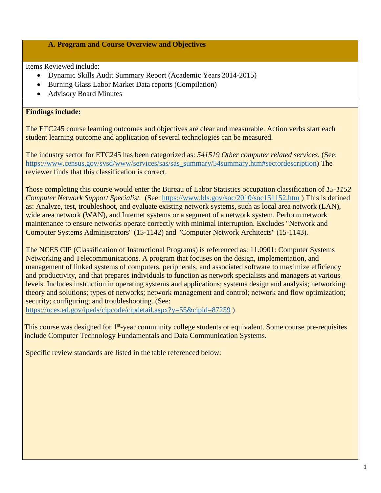#### **A. Program and Course Overview and Objectives**

Items Reviewed include:

- Dynamic Skills Audit Summary Report (Academic Years 2014-2015)
- Burning Glass Labor Market Data reports (Compilation)
- Advisory Board Minutes

# **Findings include:**

The ETC245 course learning outcomes and objectives are clear and measurable. Action verbs start each student learning outcome and application of several technologies can be measured.

The industry sector for ETC245 has been categorized as: *541519 Other computer related services*. (See: [https://www.census.gov/svsd/www/services/sas/sas\\_summary/54summary.htm#sectordescription\)](https://www.census.gov/svsd/www/services/sas/sas_summary/54summary.htm#sectordescription) The reviewer finds that this classification is correct.

Those completing this course would enter the Bureau of Labor Statistics occupation classification of *15-1152 Computer Network Support Specialist.* (See: <https://www.bls.gov/soc/2010/soc151152.htm> ) This is defined as: Analyze, test, troubleshoot, and evaluate existing network systems, such as local area network (LAN), wide area network (WAN), and Internet systems or a segment of a network system. Perform network maintenance to ensure networks operate correctly with minimal interruption. Excludes "Network and Computer Systems Administrators" (15-1142) and "Computer Network Architects" (15-1143).

The NCES CIP (Classification of Instructional Programs) is referenced as: 11.0901: Computer Systems Networking and Telecommunications. A program that focuses on the design, implementation, and management of linked systems of computers, peripherals, and associated software to maximize efficiency and productivity, and that prepares individuals to function as network specialists and managers at various levels. Includes instruction in operating systems and applications; systems design and analysis; networking theory and solutions; types of networks; network management and control; network and flow optimization; security; configuring; and troubleshooting*.* (See:

<https://nces.ed.gov/ipeds/cipcode/cipdetail.aspx?y=55&cipid=87259> )

This course was designed for 1<sup>st</sup>-year community college students or equivalent. Some course pre-requisites include Computer Technology Fundamentals and Data Communication Systems.

Specific review standards are listed in the table referenced below: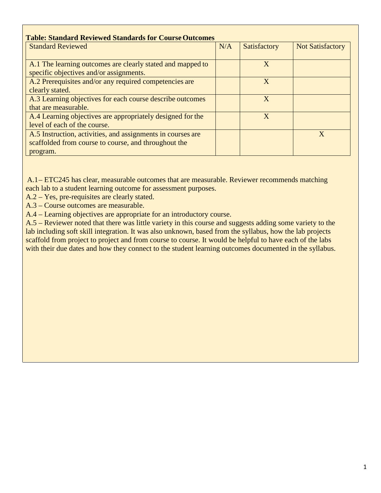| <b>Standard Reviewed</b>                                                                                                        | N/A | Satisfactory | <b>Not Satisfactory</b> |
|---------------------------------------------------------------------------------------------------------------------------------|-----|--------------|-------------------------|
| A.1 The learning outcomes are clearly stated and mapped to<br>specific objectives and/or assignments.                           |     | X            |                         |
| A.2 Prerequisites and/or any required competencies are<br>clearly stated.                                                       |     | X            |                         |
| A.3 Learning objectives for each course describe outcomes<br>that are measurable.                                               |     | X            |                         |
| A.4 Learning objectives are appropriately designed for the<br>level of each of the course.                                      |     | X            |                         |
| A.5 Instruction, activities, and assignments in courses are<br>scaffolded from course to course, and throughout the<br>program. |     |              | X                       |

A.1– ETC245 has clear, measurable outcomes that are measurable. Reviewer recommends matching each lab to a student learning outcome for assessment purposes.

- A.2 Yes, pre-requisites are clearly stated.
- A.3 Course outcomes are measurable.
- A.4 Learning objectives are appropriate for an introductory course.

A.5 – Reviewer noted that there was little variety in this course and suggests adding some variety to the lab including soft skill integration. It was also unknown, based from the syllabus, how the lab projects scaffold from project to project and from course to course. It would be helpful to have each of the labs with their due dates and how they connect to the student learning outcomes documented in the syllabus.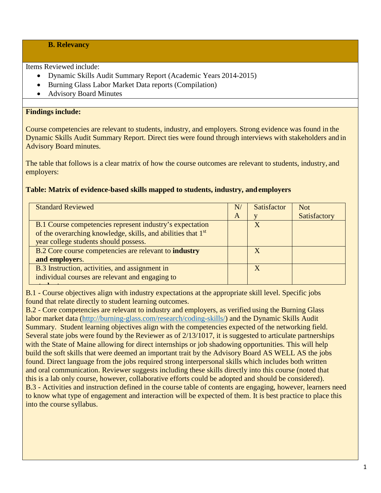# **B. Relevancy**

Items Reviewed include:

- Dynamic Skills Audit Summary Report (Academic Years 2014-2015)
- Burning Glass Labor Market Data reports (Compilation)
- Advisory Board Minutes

# **Findings include:**

Course competencies are relevant to students, industry, and employers. Strong evidence was found in the Dynamic Skills Audit Summary Report. Direct ties were found through interviews with stakeholders and in Advisory Board minutes.

The table that follows is a clear matrix of how the course outcomes are relevant to students, industry, and employers:

# **Table: Matrix of evidence-based skills mapped to students, industry, andemployers**

| <b>Standard Reviewed</b>                                                 | N | <b>Satisfactor</b> | <b>Not</b>   |
|--------------------------------------------------------------------------|---|--------------------|--------------|
|                                                                          | A |                    | Satisfactory |
| B.1 Course competencies represent industry's expectation                 |   | X                  |              |
| of the overarching knowledge, skills, and abilities that 1 <sup>st</sup> |   |                    |              |
| year college students should possess.                                    |   |                    |              |
| B.2 Core course competencies are relevant to <b>industry</b>             |   | $\mathbf{X}$       |              |
| and employers.                                                           |   |                    |              |
| B.3 Instruction, activities, and assignment in                           |   | X                  |              |
| individual courses are relevant and engaging to                          |   |                    |              |
|                                                                          |   |                    |              |

B.1 - Course objectives align with industry expectations at the appropriate skill level. Specific jobs found that relate directly to student learning outcomes.

B.2 - Core competencies are relevant to industry and employers, as verified using the Burning Glass labor market data [\(http://burning-glass.com/research/coding-skills/\)](http://burning-glass.com/research/coding-skills/) and the Dynamic Skills Audit Summary. Student learning objectives align with the competencies expected of the networking field. Several state jobs were found by the Reviewer as of 2/13/1017, it is suggested to articulate partnerships with the State of Maine allowing for direct internships or job shadowing opportunities. This will help build the soft skills that were deemed an important trait by the Advisory Board AS WELL AS the jobs found. Direct language from the jobs required strong interpersonal skills which includes both written and oral communication. Reviewer suggests including these skills directly into this course (noted that this is a lab only course, however, collaborative efforts could be adopted and should be considered). B.3 - Activities and instruction defined in the course table of contents are engaging, however, learners need to know what type of engagement and interaction will be expected of them. It is best practice to place this into the course syllabus.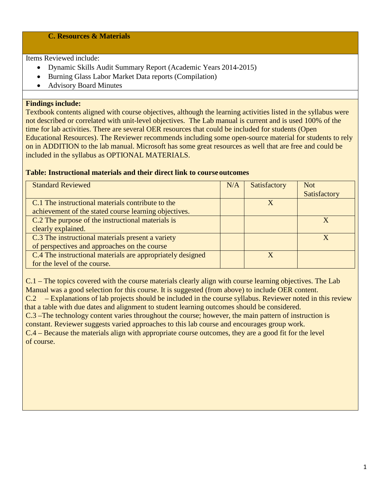### **C. Resources & Materials**

Items Reviewed include:

- Dynamic Skills Audit Summary Report (Academic Years 2014-2015)
- Burning Glass Labor Market Data reports (Compilation)
- Advisory Board Minutes

#### **Findings include:**

Textbook contents aligned with course objectives, although the learning activities listed in the syllabus were not described or correlated with unit-level objectives. The Lab manual is current and is used 100% of the time for lab activities. There are several OER resources that could be included for students (Open Educational Resources). The Reviewer recommends including some open-source material for students to rely on in ADDITION to the lab manual. Microsoft has some great resources as well that are free and could be included in the syllabus as OPTIONAL MATERIALS.

#### **Table: Instructional materials and their direct link to course outcomes**

| <b>Standard Reviewed</b>                                   | N/A | Satisfactory | <b>Not</b>   |
|------------------------------------------------------------|-----|--------------|--------------|
|                                                            |     |              | Satisfactory |
| C.1 The instructional materials contribute to the          |     | X            |              |
| achievement of the stated course learning objectives.      |     |              |              |
| C.2 The purpose of the instructional materials is          |     |              |              |
| clearly explained.                                         |     |              |              |
| C.3 The instructional materials present a variety          |     |              | $\mathbf X$  |
| of perspectives and approaches on the course               |     |              |              |
| C.4 The instructional materials are appropriately designed |     | $\mathbf X$  |              |
| for the level of the course.                               |     |              |              |

C.1 – The topics covered with the course materials clearly align with course learning objectives. The Lab Manual was a good selection for this course. It is suggested (from above) to include OER content. C.2 – Explanations of lab projects should be included in the course syllabus. Reviewer noted in this review that a table with due dates and alignment to student learning outcomes should be considered. C.3 –The technology content varies throughout the course; however, the main pattern of instruction is constant. Reviewer suggests varied approaches to this lab course and encourages group work. C.4 – Because the materials align with appropriate course outcomes, they are a good fit for the level of course.